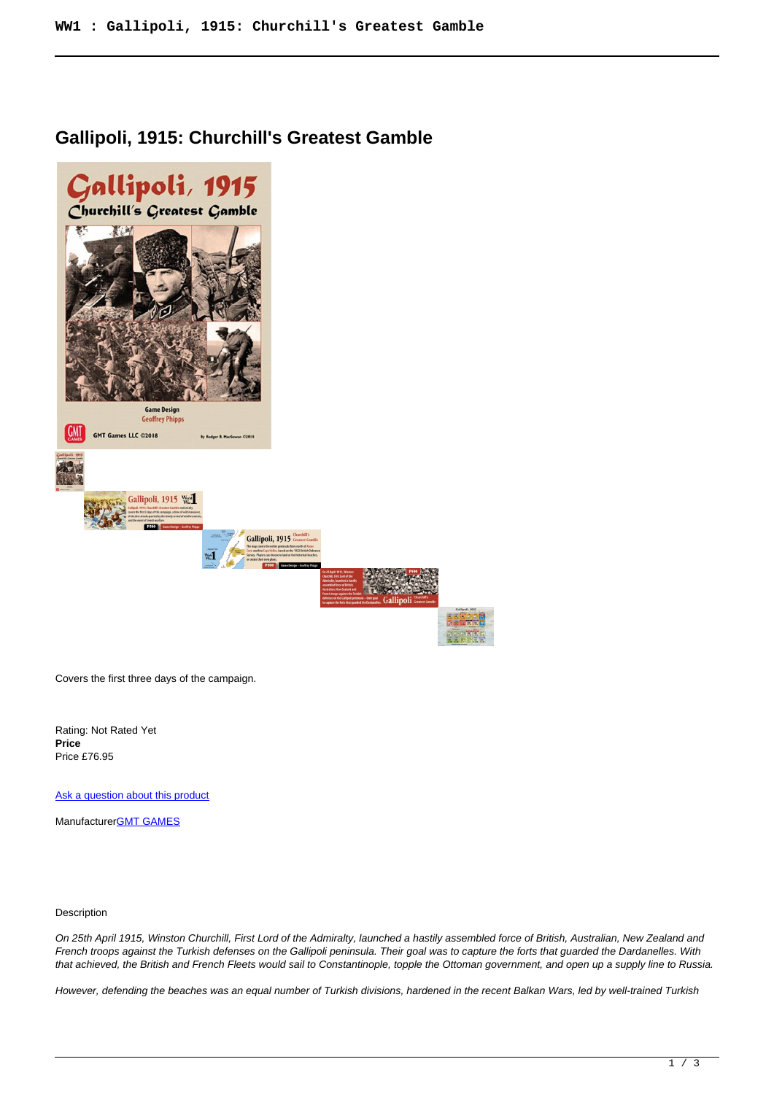## **Gallipoli, 1915: Churchill's Greatest Gamble**



Covers the first three days of the campaign.

Rating: Not Rated Yet **Price**  Price £76.95

[Ask a question about this product](https://www.secondchancegames.com/index.php?option=com_virtuemart&view=productdetails&task=askquestion&virtuemart_product_id=10769&virtuemart_category_id=6&tmpl=component)

Manufacturer[GMT GAMES](https://www.secondchancegames.com/index.php?option=com_virtuemart&view=manufacturer&virtuemart_manufacturer_id=2519&tmpl=component)

Description

On 25th April 1915, Winston Churchill, First Lord of the Admiralty, launched a hastily assembled force of British, Australian, New Zealand and French troops against the Turkish defenses on the Gallipoli peninsula. Their goal was to capture the forts that guarded the Dardanelles. With that achieved, the British and French Fleets would sail to Constantinople, topple the Ottoman government, and open up a supply line to Russia.

However, defending the beaches was an equal number of Turkish divisions, hardened in the recent Balkan Wars, led by well-trained Turkish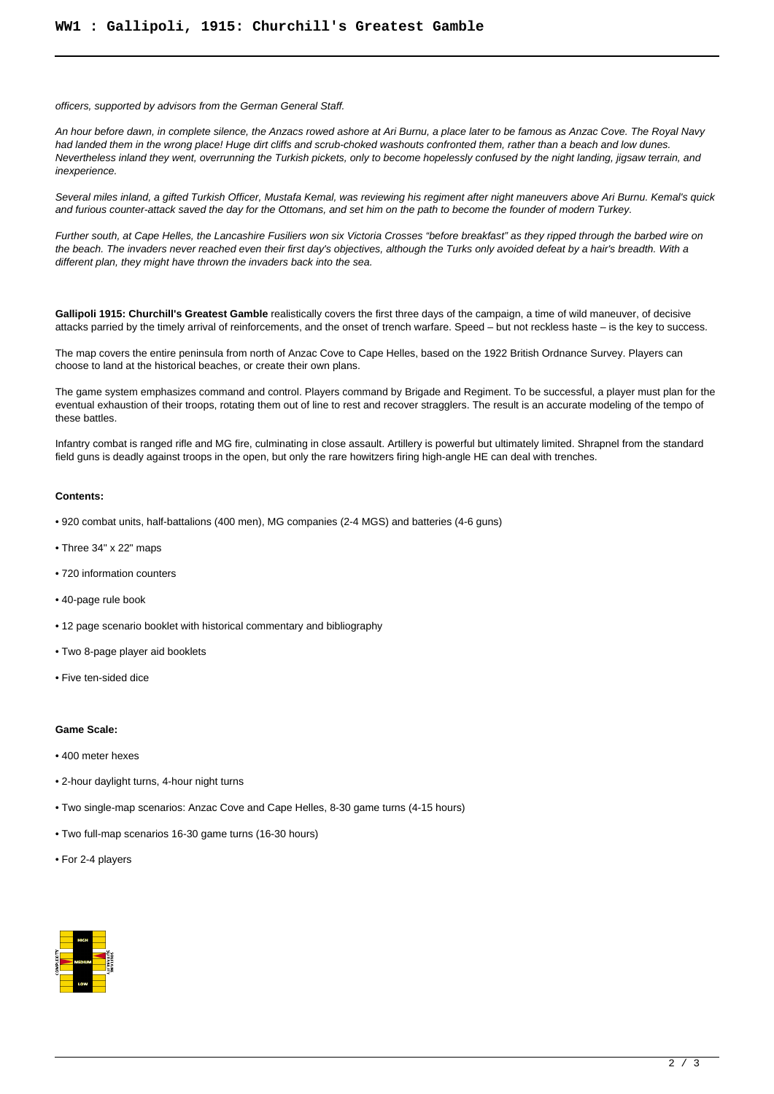officers, supported by advisors from the German General Staff.

An hour before dawn, in complete silence, the Anzacs rowed ashore at Ari Burnu, a place later to be famous as Anzac Cove. The Royal Navy had landed them in the wrong place! Huge dirt cliffs and scrub-choked washouts confronted them, rather than a beach and low dunes. Nevertheless inland they went, overrunning the Turkish pickets, only to become hopelessly confused by the night landing, jigsaw terrain, and inexperience.

Several miles inland, a gifted Turkish Officer, Mustafa Kemal, was reviewing his regiment after night maneuvers above Ari Burnu. Kemal's quick and furious counter-attack saved the day for the Ottomans, and set him on the path to become the founder of modern Turkey.

Further south, at Cape Helles, the Lancashire Fusiliers won six Victoria Crosses "before breakfast" as they ripped through the barbed wire on the beach. The invaders never reached even their first day's objectives, although the Turks only avoided defeat by a hair's breadth. With a different plan, they might have thrown the invaders back into the sea.

Gallipoli 1915: Churchill's Greatest Gamble realistically covers the first three days of the campaign, a time of wild maneuver, of decisive attacks parried by the timely arrival of reinforcements, and the onset of trench warfare. Speed – but not reckless haste – is the key to success.

The map covers the entire peninsula from north of Anzac Cove to Cape Helles, based on the 1922 British Ordnance Survey. Players can choose to land at the historical beaches, or create their own plans.

The game system emphasizes command and control. Players command by Brigade and Regiment. To be successful, a player must plan for the eventual exhaustion of their troops, rotating them out of line to rest and recover stragglers. The result is an accurate modeling of the tempo of these battles.

Infantry combat is ranged rifle and MG fire, culminating in close assault. Artillery is powerful but ultimately limited. Shrapnel from the standard field guns is deadly against troops in the open, but only the rare howitzers firing high-angle HE can deal with trenches.

## **Contents:**

- 920 combat units, half-battalions (400 men), MG companies (2-4 MGS) and batteries (4-6 guns)
- Three 34" x 22" maps
- 720 information counters
- 40-page rule book
- 12 page scenario booklet with historical commentary and bibliography
- Two 8-page player aid booklets
- Five ten-sided dice

## **Game Scale:**

- 400 meter hexes
- 2-hour daylight turns, 4-hour night turns
- Two single-map scenarios: Anzac Cove and Cape Helles, 8-30 game turns (4-15 hours)
- Two full-map scenarios 16-30 game turns (16-30 hours)
- For 2-4 players